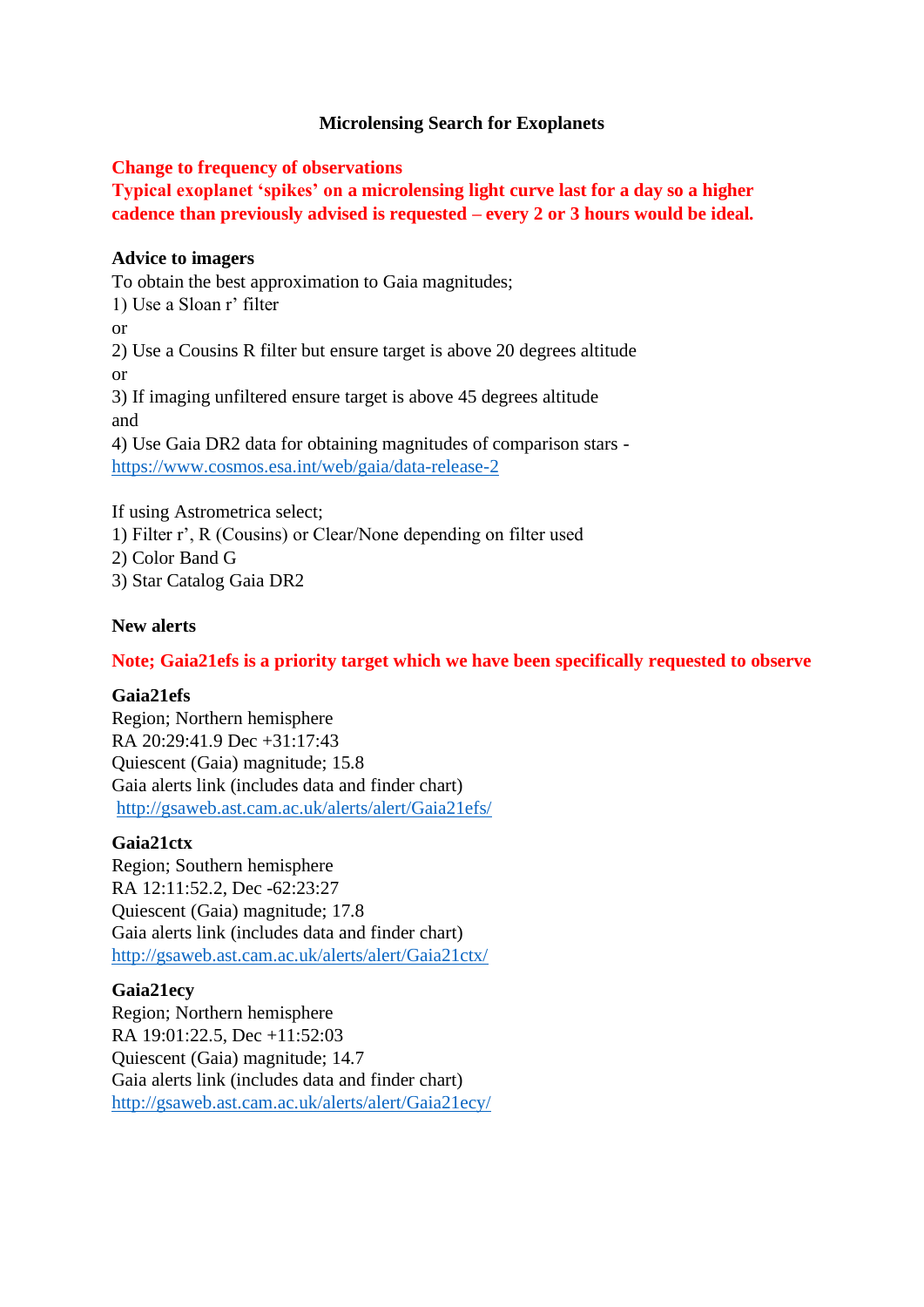# **Microlensing Search for Exoplanets**

## **Change to frequency of observations**

**Typical exoplanet 'spikes' on a microlensing light curve last for a day so a higher cadence than previously advised is requested – every 2 or 3 hours would be ideal.**

## **Advice to imagers**

To obtain the best approximation to Gaia magnitudes; 1) Use a Sloan r' filter or 2) Use a Cousins R filter but ensure target is above 20 degrees altitude or 3) If imaging unfiltered ensure target is above 45 degrees altitude and 4) Use Gaia DR2 data for obtaining magnitudes of comparison stars <https://www.cosmos.esa.int/web/gaia/data-release-2>

If using Astrometrica select; 1) Filter r', R (Cousins) or Clear/None depending on filter used 2) Color Band G 3) Star Catalog Gaia DR2

### **New alerts**

# **Note; Gaia21efs is a priority target which we have been specifically requested to observe**

### **Gaia21efs**

Region; Northern hemisphere RA 20:29:41.9 Dec +31:17:43 Quiescent (Gaia) magnitude; 15.8 Gaia alerts link (includes data and finder chart) <http://gsaweb.ast.cam.ac.uk/alerts/alert/Gaia21efs/>

### **Gaia21ctx**

Region; Southern hemisphere RA 12:11:52.2, Dec -62:23:27 Quiescent (Gaia) magnitude; 17.8 Gaia alerts link (includes data and finder chart) <http://gsaweb.ast.cam.ac.uk/alerts/alert/Gaia21ctx/>

### **Gaia21ecy**

Region; Northern hemisphere RA 19:01:22.5, Dec +11:52:03 Quiescent (Gaia) magnitude; 14.7 Gaia alerts link (includes data and finder chart) <http://gsaweb.ast.cam.ac.uk/alerts/alert/Gaia21ecy/>